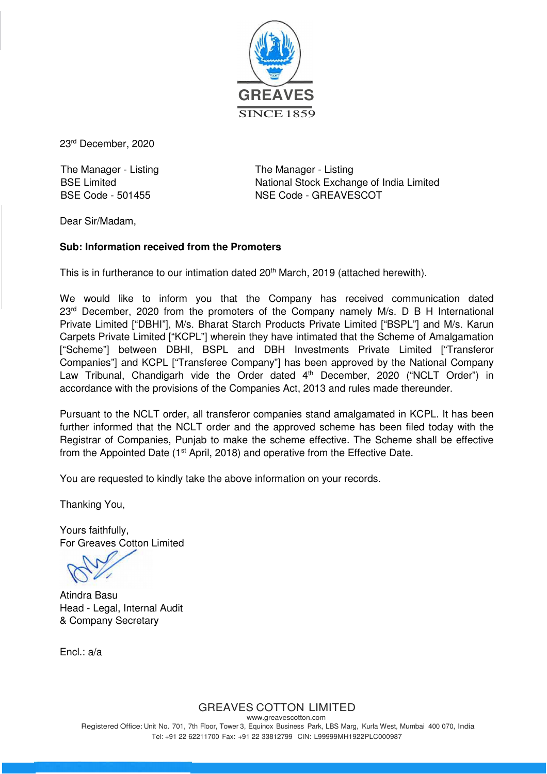

23rd December, 2020

The Manager - Listing The Manager - Listing

BSE Limited **National Stock Exchange of India Limited** BSE Code - 501455 NSE Code - GREAVESCOT

Dear Sir/Madam,

## **Sub: Information received from the Promoters**

This is in furtherance to our intimation dated 20<sup>th</sup> March, 2019 (attached herewith).

We would like to inform you that the Company has received communication dated  $23<sup>rd</sup>$  December, 2020 from the promoters of the Company namely M/s. D B H International Private Limited ["DBHI"], M/s. Bharat Starch Products Private Limited ["BSPL"] and M/s. Karun Carpets Private Limited ["KCPL"] wherein they have intimated that the Scheme of Amalgamation ["Scheme"] between DBHI, BSPL and DBH Investments Private Limited ["Transferor Companies"] and KCPL ["Transferee Company"] has been approved by the National Company Law Tribunal, Chandigarh vide the Order dated 4<sup>th</sup> December, 2020 ("NCLT Order") in accordance with the provisions of the Companies Act, 2013 and rules made thereunder.

Pursuant to the NCLT order, all transferor companies stand amalgamated in KCPL. It has been further informed that the NCLT order and the approved scheme has been filed today with the Registrar of Companies, Punjab to make the scheme effective. The Scheme shall be effective from the Appointed Date (1<sup>st</sup> April, 2018) and operative from the Effective Date.

You are requested to kindly take the above information on your records.

Thanking You,

Yours faithfully, For Greaves Cotton Limited

Atindra Basu Head - Legal, Internal Audit & Company Secretary

Encl.: a/a

GREAVES COTTON LIMITED

www.greavescotton.com Registered Office: Unit No. 701, 7th Floor, Tower 3, Equinox Business Park, LBS Marg, Kurla West, Mumbai 400 070, India Tel: +91 22 62211700 Fax: +91 22 33812799 CIN: L99999MH1922PLC000987